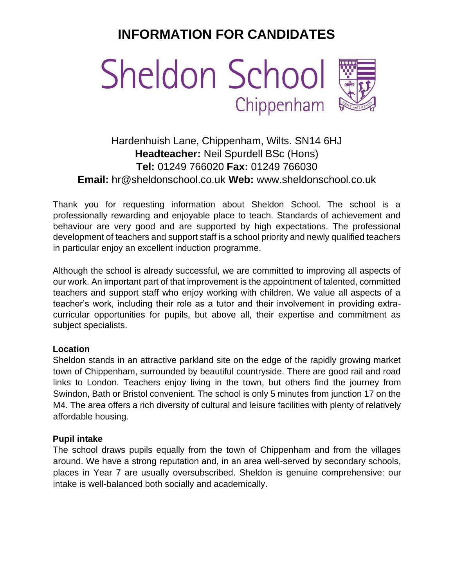# **INFORMATION FOR CANDIDATES**



# Hardenhuish Lane, Chippenham, Wilts. SN14 6HJ **Headteacher:** Neil Spurdell BSc (Hons) **Tel:** 01249 766020 **Fax:** 01249 766030 **Email:** hr@sheldonschool.co.uk **Web:** [www.sheldonschool.co.uk](http://www.sheldonschool.co.uk/)

Thank you for requesting information about Sheldon School. The school is a professionally rewarding and enjoyable place to teach. Standards of achievement and behaviour are very good and are supported by high expectations. The professional development of teachers and support staff is a school priority and newly qualified teachers in particular enjoy an excellent induction programme.

Although the school is already successful, we are committed to improving all aspects of our work. An important part of that improvement is the appointment of talented, committed teachers and support staff who enjoy working with children. We value all aspects of a teacher's work, including their role as a tutor and their involvement in providing extracurricular opportunities for pupils, but above all, their expertise and commitment as subject specialists.

#### **Location**

Sheldon stands in an attractive parkland site on the edge of the rapidly growing market town of Chippenham, surrounded by beautiful countryside. There are good rail and road links to London. Teachers enjoy living in the town, but others find the journey from Swindon, Bath or Bristol convenient. The school is only 5 minutes from junction 17 on the M4. The area offers a rich diversity of cultural and leisure facilities with plenty of relatively affordable housing.

# **Pupil intake**

The school draws pupils equally from the town of Chippenham and from the villages around. We have a strong reputation and, in an area well-served by secondary schools, places in Year 7 are usually oversubscribed. Sheldon is genuine comprehensive: our intake is well-balanced both socially and academically.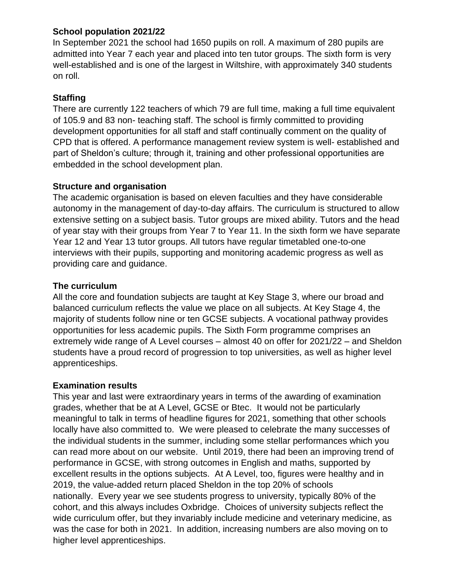# **School population 2021/22**

In September 2021 the school had 1650 pupils on roll. A maximum of 280 pupils are admitted into Year 7 each year and placed into ten tutor groups. The sixth form is very well-established and is one of the largest in Wiltshire, with approximately 340 students on roll.

# **Staffing**

There are currently 122 teachers of which 79 are full time, making a full time equivalent of 105.9 and 83 non- teaching staff. The school is firmly committed to providing development opportunities for all staff and staff continually comment on the quality of CPD that is offered. A performance management review system is well- established and part of Sheldon's culture; through it, training and other professional opportunities are embedded in the school development plan.

## **Structure and organisation**

The academic organisation is based on eleven faculties and they have considerable autonomy in the management of day-to-day affairs. The curriculum is structured to allow extensive setting on a subject basis. Tutor groups are mixed ability. Tutors and the head of year stay with their groups from Year 7 to Year 11. In the sixth form we have separate Year 12 and Year 13 tutor groups. All tutors have regular timetabled one-to-one interviews with their pupils, supporting and monitoring academic progress as well as providing care and guidance.

#### **The curriculum**

All the core and foundation subjects are taught at Key Stage 3, where our broad and balanced curriculum reflects the value we place on all subjects. At Key Stage 4, the majority of students follow nine or ten GCSE subjects. A vocational pathway provides opportunities for less academic pupils. The Sixth Form programme comprises an extremely wide range of A Level courses – almost 40 on offer for 2021/22 – and Sheldon students have a proud record of progression to top universities, as well as higher level apprenticeships.

#### **Examination results**

This year and last were extraordinary years in terms of the awarding of examination grades, whether that be at A Level, GCSE or Btec. It would not be particularly meaningful to talk in terms of headline figures for 2021, something that other schools locally have also committed to. We were pleased to celebrate the many successes of the individual students in the summer, including some stellar performances which you can read more about on our website. Until 2019, there had been an improving trend of performance in GCSE, with strong outcomes in English and maths, supported by excellent results in the options subjects. At A Level, too, figures were healthy and in 2019, the value-added return placed Sheldon in the top 20% of schools nationally. Every year we see students progress to university, typically 80% of the cohort, and this always includes Oxbridge. Choices of university subjects reflect the wide curriculum offer, but they invariably include medicine and veterinary medicine, as was the case for both in 2021. In addition, increasing numbers are also moving on to higher level apprenticeships.